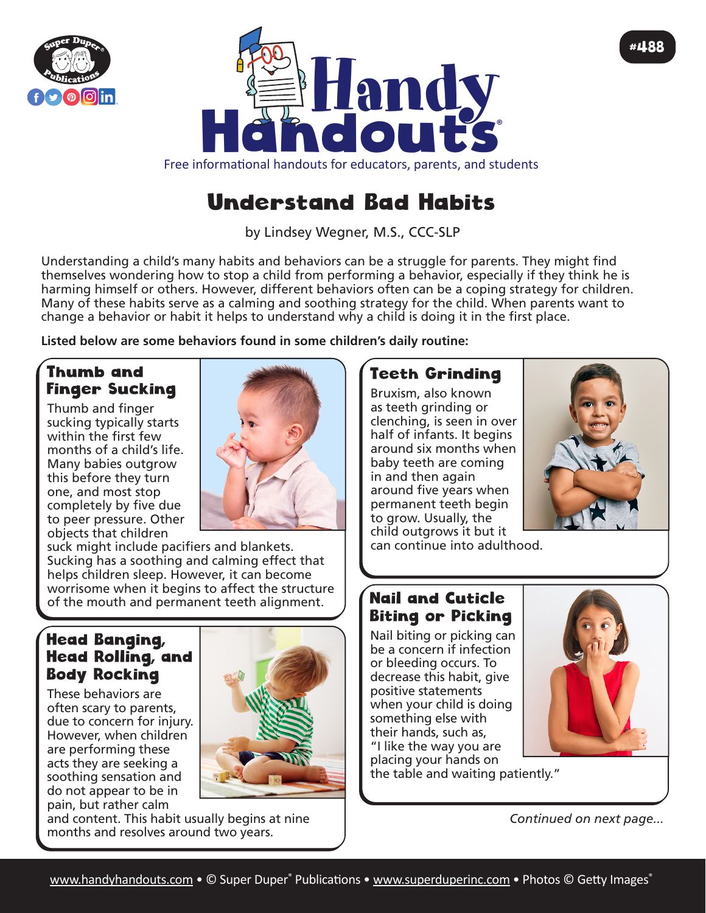



# Understand Bad Habits

by Lindsey Wegner, M.S., CCC-SLP

Understanding a child's many habits and behaviors can be a struggle for parents. They might find themselves wondering how to stop a child from performing a behavior, especially if they think he is harming himself or others. However, different behaviors often can be a coping strategy for children. Many of these habits serve as a calming and soothing strategy for the child. When parents want to change a behavior or habit it helps to understand why a child is doing it in the first place.

**Listed below are some behaviors found in some children's daily routine:**

### Thumb and Finger Sucking

Thumb and finger sucking typically starts within the first few months of a child's life. Many babies outgrow this before they turn one, and most stop completely by five due to peer pressure. Other objects that children



suck might include pacifiers and blankets. Sucking has a soothing and calming effect that helps children sleep. However, it can become worrisome when it begins to affect the structure of the mouth and permanent teeth alignment.

#### Head Banging, Head Rolling, and Body Rocking

These behaviors are often scary to parents, due to concern for injury. However, when children are performing these acts they are seeking a soothing sensation and do not appear to be in pain, but rather calm



and content. This habit usually begins at nine months and resolves around two years.

## Teeth Grinding

Bruxism, also known as teeth grinding or clenching, is seen in over half of infants. It begins around six months when baby teeth are coming in and then again around five years when permanent teeth begin to grow. Usually, the child outgrows it but it



#488

can continue into adulthood.

### Nail and Cuticle Biting or Picking

Nail biting or picking can be a concern if infection or bleeding occurs. To decrease this habit, give positive statements when your child is doing something else with their hands, such as, "I like the way you are

placing your hands on the table and waiting patiently."



*Continued on next page...*